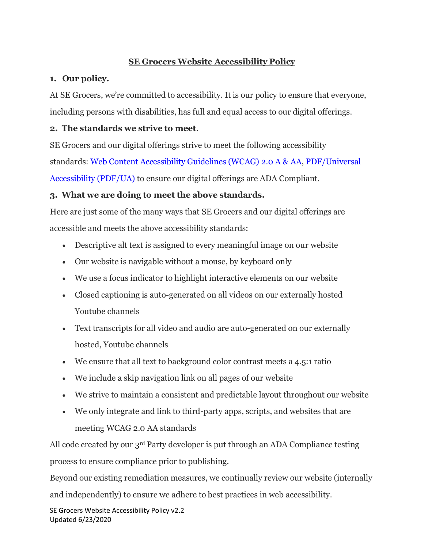#### **SE Grocers Website Accessibility Policy**

#### **1. Our policy.**

At SE Grocers, we're committed to accessibility. It is our policy to ensure that everyone, including persons with disabilities, has full and equal access to our digital offerings.

## **2. The standards we strive to meet**.

SE Grocers and our digital offerings strive to meet the following accessibility standards: [Web Content Accessibility Guidelines \(WCAG\) 2.0 A & AA,](https://www.w3.org/TR/WCAG20/) [PDF/Universal](https://blogs.adobe.com/accessibility/2013/06/pdf-ua-2.html)  [Accessibility \(PDF/UA\)](https://blogs.adobe.com/accessibility/2013/06/pdf-ua-2.html) to ensure our digital offerings are ADA Compliant.

# **3. What we are doing to meet the above standards.**

Here are just some of the many ways that SE Grocers and our digital offerings are accessible and meets the above accessibility standards:

- Descriptive alt text is assigned to every meaningful image on our website
- Our website is navigable without a mouse, by keyboard only
- We use a focus indicator to highlight interactive elements on our website
- Closed captioning is auto-generated on all videos on our externally hosted Youtube channels
- Text transcripts for all video and audio are auto-generated on our externally hosted, Youtube channels
- We ensure that all text to background color contrast meets a 4.5:1 ratio
- We include a skip navigation link on all pages of our website
- We strive to maintain a consistent and predictable layout throughout our website
- We only integrate and link to third-party apps, scripts, and websites that are meeting WCAG 2.0 AA standards

All code created by our 3<sup>rd</sup> Party developer is put through an ADA Compliance testing process to ensure compliance prior to publishing.

Beyond our existing remediation measures, we continually review our website (internally and independently) to ensure we adhere to best practices in web accessibility.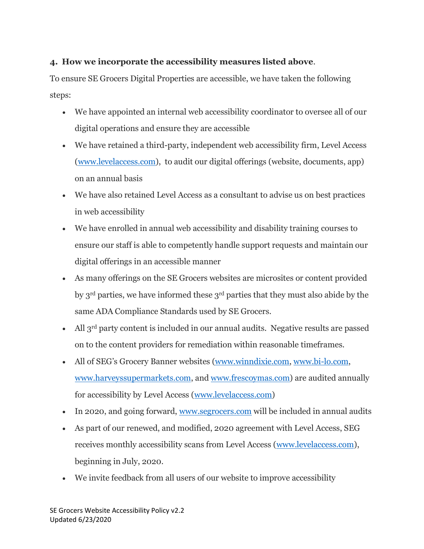## **4. How we incorporate the accessibility measures listed above**.

To ensure SE Grocers Digital Properties are accessible, we have taken the following steps:

- We have appointed an internal web accessibility coordinator to oversee all of our digital operations and ensure they are accessible
- We have retained a third-party, independent web accessibility firm, Level Access [\(www.levelaccess.com\)](http://www.levelaccess.com/), to audit our digital offerings (website, documents, app) on an annual basis
- We have also retained Level Access as a consultant to advise us on best practices in web accessibility
- We have enrolled in annual web accessibility and disability training courses to ensure our staff is able to competently handle support requests and maintain our digital offerings in an accessible manner
- As many offerings on the SE Grocers websites are microsites or content provided by 3rd parties, we have informed these 3rd parties that they must also abide by the same ADA Compliance Standards used by SE Grocers.
- All 3<sup>rd</sup> party content is included in our annual audits. Negative results are passed on to the content providers for remediation within reasonable timeframes.
- All of SEG's Grocery Banner websites [\(www.winndixie.com,](file:///C:/Users/SHEFFM/AppData/Local/Microsoft/Windows/INetCache/Content.Outlook/J8DHNBE0/www.winndixie.com) [www.bi-lo.com,](file:///C:/Users/SHEFFM/AppData/Local/Microsoft/Windows/INetCache/Content.Outlook/J8DHNBE0/www.bi-lo.com) [www.harveyssupermarkets.com,](file:///C:/Users/SHEFFM/AppData/Local/Microsoft/Windows/INetCache/Content.Outlook/J8DHNBE0/www.harveyssupermarkets.com,) and [www.frescoymas.com\)](file:///C:/Users/SHEFFM/AppData/Local/Microsoft/Windows/INetCache/Content.Outlook/J8DHNBE0/www.frescoymas.com) are audited annually for accessibility by Level Access [\(www.levelaccess.com\)](http://www.levelaccess.com/)
- In 2020, and going forward, [www.segrocers.com](file:///C:/Users/SHEFFM/AppData/Local/Microsoft/Windows/INetCache/Content.Outlook/J8DHNBE0/www.segrocers.com) will be included in annual audits
- As part of our renewed, and modified, 2020 agreement with Level Access, SEG receives monthly accessibility scans from Level Access [\(www.levelaccess.com\)](http://www.levelaccess.com/), beginning in July, 2020.
- We invite feedback from all users of our website to improve accessibility